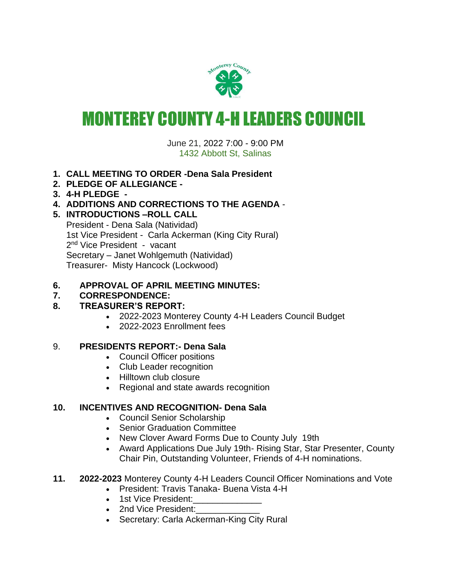

# MONTEREY COUNTY 4-H LEADERS COUNCIL

June 21, 2022 7:00 - 9:00 PM 1432 Abbott St, Salinas

- **1. CALL MEETING TO ORDER -Dena Sala President**
- **2. PLEDGE OF ALLEGIANCE -**
- **3. 4-H PLEDGE -**
- **4. ADDITIONS AND CORRECTIONS TO THE AGENDA** -
- **5. INTRODUCTIONS –ROLL CALL**

President - Dena Sala (Natividad) 1st Vice President - Carla Ackerman (King City Rural) 2<sup>nd</sup> Vice President - vacant Secretary – Janet Wohlgemuth (Natividad) Treasurer- Misty Hancock (Lockwood)

#### **6. APPROVAL OF APRIL MEETING MINUTES:**

# **7. CORRESPONDENCE:**

# **8. TREASURER'S REPORT:**

- 2022-2023 Monterey County 4-H Leaders Council Budget
- 2022-2023 Enrollment fees

#### 9. **PRESIDENTS REPORT:- Dena Sala**

- Council Officer positions
- Club Leader recognition
- Hilltown club closure
- Regional and state awards recognition

#### **10. INCENTIVES AND RECOGNITION- Dena Sala**

- Council Senior Scholarship
- Senior Graduation Committee
- New Clover Award Forms Due to County July 19th
- Award Applications Due July 19th- Rising Star, Star Presenter, County Chair Pin, Outstanding Volunteer, Friends of 4-H nominations.
- **11. 2022-2023** Monterey County 4-H Leaders Council Officer Nominations and Vote
	- President: Travis Tanaka- Buena Vista 4-H
	- 1st Vice President:
	- 2nd Vice President:
	- Secretary: Carla Ackerman-King City Rural